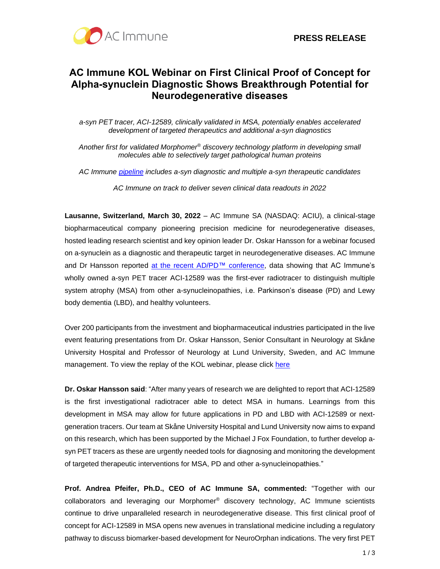

## **AC Immune KOL Webinar on First Clinical Proof of Concept for Alpha-synuclein Diagnostic Shows Breakthrough Potential for Neurodegenerative diseases**

*a-syn PET tracer, ACI-12589, clinically validated in MSA, potentially enables accelerated development of targeted therapeutics and additional a-syn diagnostics* 

*Another first for validated Morphomer® discovery technology platform in developing small molecules able to selectively target pathological human proteins*

*AC Immune [pipeline](https://www.acimmune.com/pipeline/) includes a-syn diagnostic and multiple a-syn therapeutic candidates* 

*AC Immune on track to deliver seven clinical data readouts in 2022*

**Lausanne, Switzerland, March 30, 2022** – AC Immune SA (NASDAQ: ACIU), a clinical-stage biopharmaceutical company pioneering precision medicine for neurodegenerative diseases, hosted leading research scientist and key opinion leader Dr. Oskar Hansson for a webinar focused on a-synuclein as a diagnostic and therapeutic target in neurodegenerative diseases. AC Immune and Dr Hansson reported at the recent AD/PD™ [conference,](https://ir.acimmune.com/news-releases/news-release-details/ac-immune-reports-first-live-images-alpha-synuclein-human-brain) data showing that AC Immune's wholly owned a-syn PET tracer ACI-12589 was the first-ever radiotracer to distinguish multiple system atrophy (MSA) from other a-synucleinopathies, i.e. Parkinson's disease (PD) and Lewy body dementia (LBD), and healthy volunteers.

Over 200 participants from the investment and biopharmaceutical industries participated in the live event featuring presentations from Dr. Oskar Hansson, Senior Consultant in Neurology at Skåne University Hospital and Professor of Neurology at Lund University, Sweden, and AC Immune management. To view the replay of the KOL webinar, please click [here](https://ir.acimmune.com/events/event-details/key-opinion-leader-webinar-alpha-synuclein-target-neurodegenerative-diseases)

**Dr. Oskar Hansson said**: "After many years of research we are delighted to report that ACI-12589 is the first investigational radiotracer able to detect MSA in humans. Learnings from this development in MSA may allow for future applications in PD and LBD with ACI-12589 or nextgeneration tracers. Our team at Skåne University Hospital and Lund University now aims to expand on this research, which has been supported by the Michael J Fox Foundation, to further develop asyn PET tracers as these are urgently needed tools for diagnosing and monitoring the development of targeted therapeutic interventions for MSA, PD and other a-synucleinopathies."

**Prof. Andrea Pfeifer, Ph.D., CEO of AC Immune SA, commented:** "Together with our collaborators and leveraging our Morphomer® discovery technology, AC Immune scientists continue to drive unparalleled research in neurodegenerative disease. This first clinical proof of concept for ACI-12589 in MSA opens new avenues in translational medicine including a regulatory pathway to discuss biomarker-based development for NeuroOrphan indications. The very first PET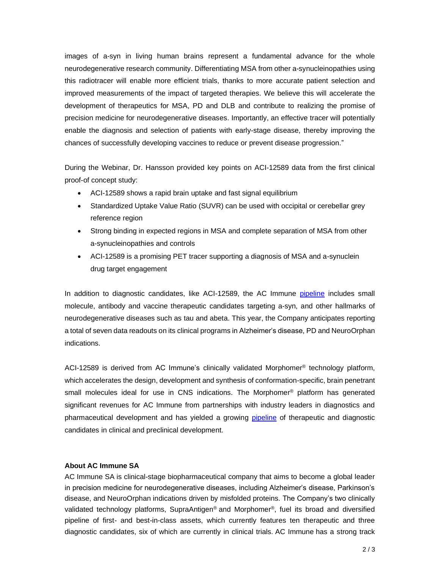images of a-syn in living human brains represent a fundamental advance for the whole neurodegenerative research community. Differentiating MSA from other a-synucleinopathies using this radiotracer will enable more efficient trials, thanks to more accurate patient selection and improved measurements of the impact of targeted therapies. We believe this will accelerate the development of therapeutics for MSA, PD and DLB and contribute to realizing the promise of precision medicine for neurodegenerative diseases. Importantly, an effective tracer will potentially enable the diagnosis and selection of patients with early-stage disease, thereby improving the chances of successfully developing vaccines to reduce or prevent disease progression."

During the Webinar, Dr. Hansson provided key points on ACI-12589 data from the first clinical proof-of concept study:

- ACI-12589 shows a rapid brain uptake and fast signal equilibrium
- Standardized Uptake Value Ratio (SUVR) can be used with occipital or cerebellar grey reference region
- Strong binding in expected regions in MSA and complete separation of MSA from other a-synucleinopathies and controls
- ACI-12589 is a promising PET tracer supporting a diagnosis of MSA and a-synuclein drug target engagement

In addition to diagnostic candidates, like ACI-12589, the AC Immune [pipeline](https://www.acimmune.com/pipeline/) includes small molecule, antibody and vaccine therapeutic candidates targeting a-syn, and other hallmarks of neurodegenerative diseases such as tau and abeta. This year, the Company anticipates reporting a total of seven data readouts on its clinical programs in Alzheimer's disease, PD and NeuroOrphan indications.

ACI-12589 is derived from AC Immune's clinically validated Morphomer® technology platform, which accelerates the design, development and synthesis of conformation-specific, brain penetrant small molecules ideal for use in CNS indications. The Morphomer<sup>®</sup> platform has generated significant revenues for AC Immune from partnerships with industry leaders in diagnostics and pharmaceutical development and has yielded a growing [pipeline](https://www.acimmune.com/pipeline/) of therapeutic and diagnostic candidates in clinical and preclinical development.

## **About AC Immune SA**

AC Immune SA is clinical-stage biopharmaceutical company that aims to become a global leader in precision medicine for neurodegenerative diseases, including Alzheimer's disease, Parkinson's disease, and NeuroOrphan indications driven by misfolded proteins. The Company's two clinically validated technology platforms, SupraAntigen<sup>®</sup> and Morphomer<sup>®</sup>, fuel its broad and diversified pipeline of first- and best-in-class assets, which currently features ten therapeutic and three diagnostic candidates, six of which are currently in clinical trials. AC Immune has a strong track